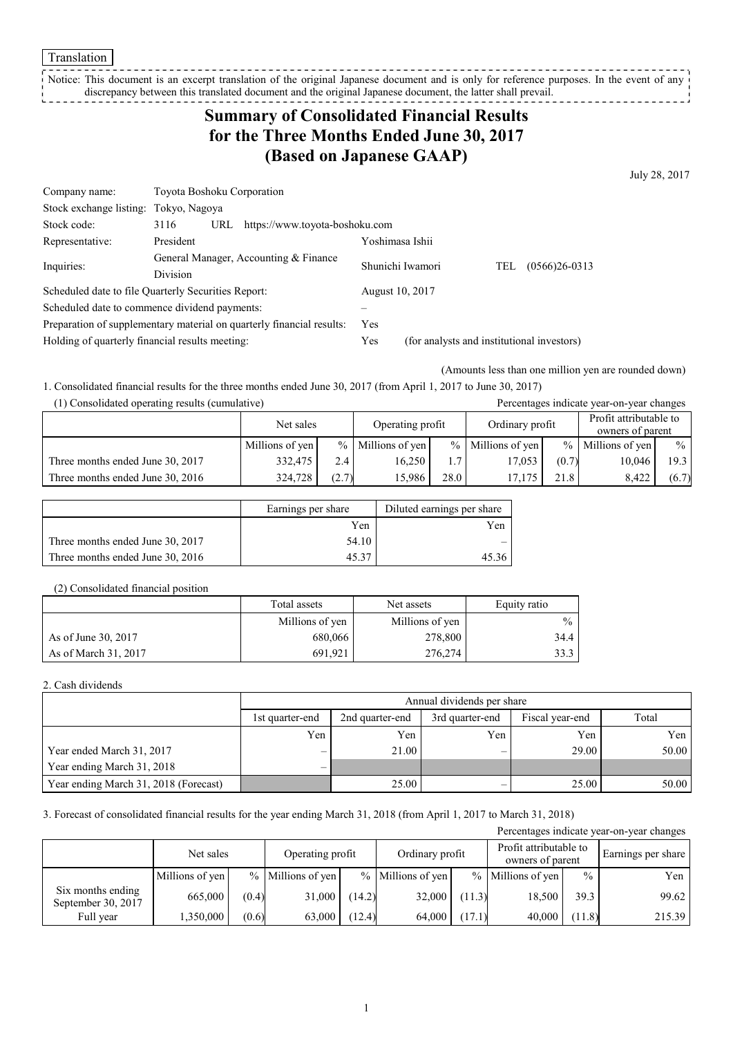Translation

Notice: This document is an excerpt translation of the original Japanese document and is only for reference purposes. In the event of any discrepancy between this translated document and the original Japanese document, the latter shall prevail. <u>-----------</u>

# **Summary of Consolidated Financial Results for the Three Months Ended June 30, 2017 (Based on Japanese GAAP)**

July 28, 2017

| Company name:                                                         | Toyota Boshoku Corporation                          |                  |                                            |                        |  |  |  |
|-----------------------------------------------------------------------|-----------------------------------------------------|------------------|--------------------------------------------|------------------------|--|--|--|
| Stock exchange listing:                                               | Tokyo, Nagoya                                       |                  |                                            |                        |  |  |  |
| Stock code:                                                           | 3116<br>https://www.toyota-boshoku.com<br>URL       |                  |                                            |                        |  |  |  |
| Representative:                                                       | President                                           | Yoshimasa Ishii  |                                            |                        |  |  |  |
|                                                                       | General Manager, Accounting & Finance               | Shunichi Iwamori |                                            | $(0566)26-0313$<br>TEL |  |  |  |
| Inquiries:                                                            | Division                                            |                  |                                            |                        |  |  |  |
|                                                                       | Scheduled date to file Quarterly Securities Report: | August 10, 2017  |                                            |                        |  |  |  |
| Scheduled date to commence dividend payments:                         |                                                     |                  |                                            |                        |  |  |  |
| Preparation of supplementary material on quarterly financial results: |                                                     | Yes              |                                            |                        |  |  |  |
| Holding of quarterly financial results meeting:                       |                                                     | Yes              | (for analysts and institutional investors) |                        |  |  |  |

(Amounts less than one million yen are rounded down)

1. Consolidated financial results for the three months ended June 30, 2017 (from April 1, 2017 to June 30, 2017)

(1) Consolidated operating results (cumulative) Percentages indicate year-on-year changes

|                                  | Net sales       |       | Operating profit    |      | Ordinary profit   |       | Profit attributable to<br>owners of parent |       |
|----------------------------------|-----------------|-------|---------------------|------|-------------------|-------|--------------------------------------------|-------|
|                                  | Millions of yen |       | $%$ Millions of yen |      | % Millions of yen |       | $\%$ Millions of yen                       | $\%$  |
| Three months ended June 30, 2017 | 332.475         | 2.4   | 16.250              | 1.7  | 17,053            | (0.7) | 10.046                                     | 19.3  |
| Three months ended June 30, 2016 | 324,728         | (2.7) | 15.986              | 28.0 | 17.175            | 21.8  | 8.422                                      | (6.7) |

|                                  | Earnings per share | Diluted earnings per share |
|----------------------------------|--------------------|----------------------------|
|                                  | Yen                | Yen                        |
| Three months ended June 30, 2017 | 54.10              |                            |
| Three months ended June 30, 2016 |                    | 45 36                      |

### (2) Consolidated financial position

|                      | Total assets    | Net assets      | Equity ratio  |
|----------------------|-----------------|-----------------|---------------|
|                      | Millions of yen | Millions of yen | $\frac{0}{0}$ |
| As of June 30, 2017  | 680,066         | 278,800         | 34.4          |
| As of March 31, 2017 | 691.921         | 276,274         | 33.3          |

### 2. Cash dividends

|                                       |                   | Annual dividends per share |                 |                 |       |  |  |  |  |
|---------------------------------------|-------------------|----------------------------|-----------------|-----------------|-------|--|--|--|--|
|                                       | 1st quarter-end   | 2nd quarter-end            | 3rd quarter-end | Fiscal year-end | Total |  |  |  |  |
|                                       | Yen               | Yen                        | Yen             | Yen             | Yen 1 |  |  |  |  |
| Year ended March 31, 2017             | $\hspace{0.05cm}$ | 21.00                      |                 | 29.00           | 50.00 |  |  |  |  |
| Year ending March 31, 2018            | $\qquad \qquad$   |                            |                 |                 |       |  |  |  |  |
| Year ending March 31, 2018 (Forecast) |                   | 25.00                      |                 | 25.00           | 50.00 |  |  |  |  |

3. Forecast of consolidated financial results for the year ending March 31, 2018 (from April 1, 2017 to March 31, 2018)

| Percentages indicate year-on-year changes |                 |       |                   |        |                     |        |                                            |               |                    |  |
|-------------------------------------------|-----------------|-------|-------------------|--------|---------------------|--------|--------------------------------------------|---------------|--------------------|--|
|                                           | Net sales       |       | Operating profit  |        | Ordinary profit     |        | Profit attributable to<br>owners of parent |               | Earnings per share |  |
|                                           | Millions of yen |       | % Millions of yen |        | $%$ Millions of yen |        | $%$ Millions of yen                        | $\frac{0}{0}$ | Yen                |  |
| Six months ending<br>September 30, 2017   | 665,000         | (0.4) | 31,000            | (14.2) | 32,000              | (11.3) | 18,500                                     | 39.3          | 99.62              |  |
| Full year                                 | 1,350,000       | (0.6) | 63,000            | (12.4) | 64.000              | (17.1) | 40,000                                     | (11.8)        | 215.39             |  |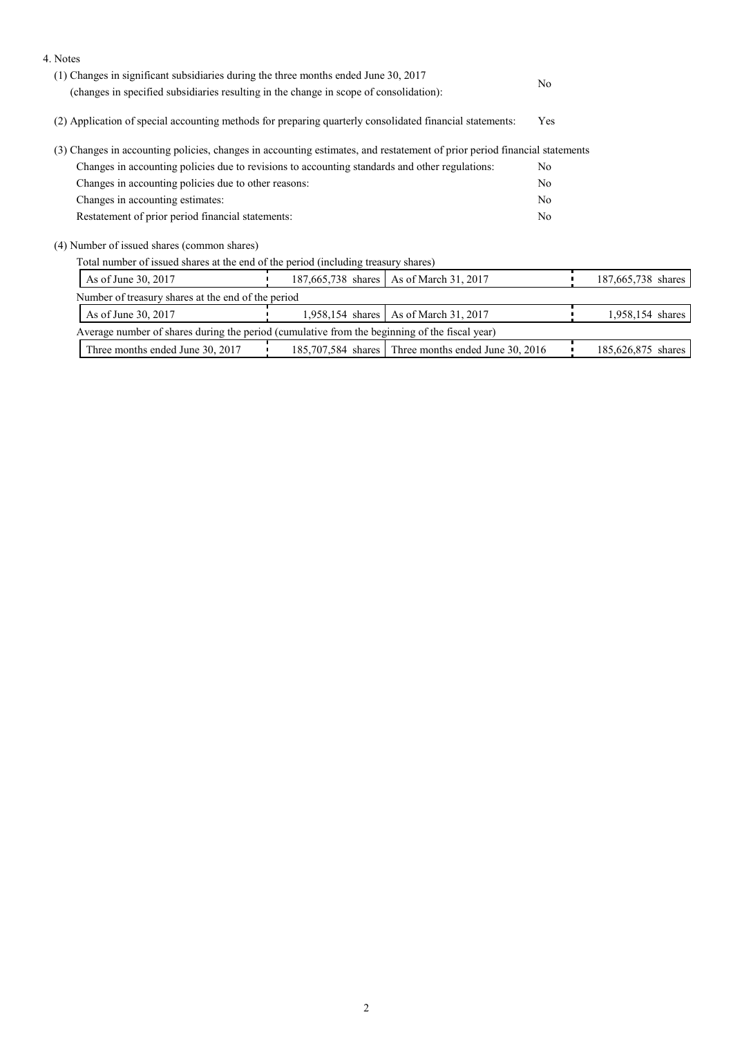| 4. Notes                                                                                                                  |                  |                                                     |                |                    |  |
|---------------------------------------------------------------------------------------------------------------------------|------------------|-----------------------------------------------------|----------------|--------------------|--|
| (1) Changes in significant subsidiaries during the three months ended June 30, 2017                                       |                  |                                                     |                |                    |  |
| (changes in specified subsidiaries resulting in the change in scope of consolidation):                                    | No               |                                                     |                |                    |  |
| (2) Application of special accounting methods for preparing quarterly consolidated financial statements:                  |                  |                                                     | Yes            |                    |  |
| (3) Changes in accounting policies, changes in accounting estimates, and restatement of prior period financial statements |                  |                                                     |                |                    |  |
| Changes in accounting policies due to revisions to accounting standards and other regulations:                            |                  |                                                     | N <sub>0</sub> |                    |  |
| Changes in accounting policies due to other reasons:                                                                      |                  |                                                     | No             |                    |  |
| Changes in accounting estimates:                                                                                          |                  |                                                     | N <sub>0</sub> |                    |  |
| Restatement of prior period financial statements:                                                                         |                  |                                                     | No             |                    |  |
| (4) Number of issued shares (common shares)                                                                               |                  |                                                     |                |                    |  |
| Total number of issued shares at the end of the period (including treasury shares)                                        |                  |                                                     |                |                    |  |
| As of June 30, 2017                                                                                                       |                  | 187,665,738 shares   As of March 31, 2017           |                | 187,665,738 shares |  |
| Number of treasury shares at the end of the period                                                                        |                  |                                                     |                |                    |  |
| As of June 30, 2017                                                                                                       | 1,958,154 shares | As of March 31, 2017                                |                | 1,958,154 shares   |  |
| Average number of shares during the period (cumulative from the beginning of the fiscal year)                             |                  |                                                     |                |                    |  |
| Three months ended June 30, 2017                                                                                          |                  | 185,707,584 shares Three months ended June 30, 2016 |                | 185,626,875 shares |  |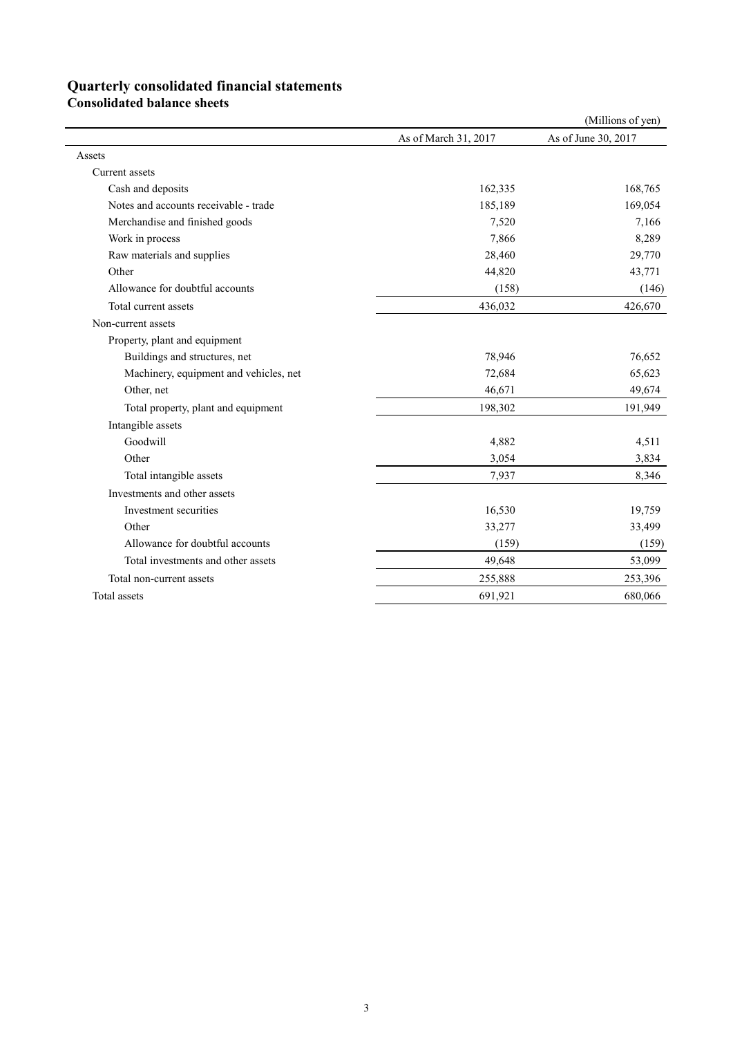## **Quarterly consolidated financial statements**

**Consolidated balance sheets** 

|                                        |                      | (Millions of yen)   |
|----------------------------------------|----------------------|---------------------|
|                                        | As of March 31, 2017 | As of June 30, 2017 |
| Assets                                 |                      |                     |
| Current assets                         |                      |                     |
| Cash and deposits                      | 162,335              | 168,765             |
| Notes and accounts receivable - trade  | 185,189              | 169,054             |
| Merchandise and finished goods         | 7,520                | 7,166               |
| Work in process                        | 7,866                | 8,289               |
| Raw materials and supplies             | 28,460               | 29,770              |
| Other                                  | 44,820               | 43,771              |
| Allowance for doubtful accounts        | (158)                | (146)               |
| Total current assets                   | 436,032              | 426,670             |
| Non-current assets                     |                      |                     |
| Property, plant and equipment          |                      |                     |
| Buildings and structures, net          | 78,946               | 76,652              |
| Machinery, equipment and vehicles, net | 72,684               | 65,623              |
| Other, net                             | 46,671               | 49,674              |
| Total property, plant and equipment    | 198,302              | 191,949             |
| Intangible assets                      |                      |                     |
| Goodwill                               | 4,882                | 4,511               |
| Other                                  | 3,054                | 3,834               |
| Total intangible assets                | 7,937                | 8,346               |
| Investments and other assets           |                      |                     |
| Investment securities                  | 16,530               | 19,759              |
| Other                                  | 33,277               | 33,499              |
| Allowance for doubtful accounts        | (159)                | (159)               |
| Total investments and other assets     | 49,648               | 53,099              |
| Total non-current assets               | 255,888              | 253,396             |
| Total assets                           | 691,921              | 680,066             |
|                                        |                      |                     |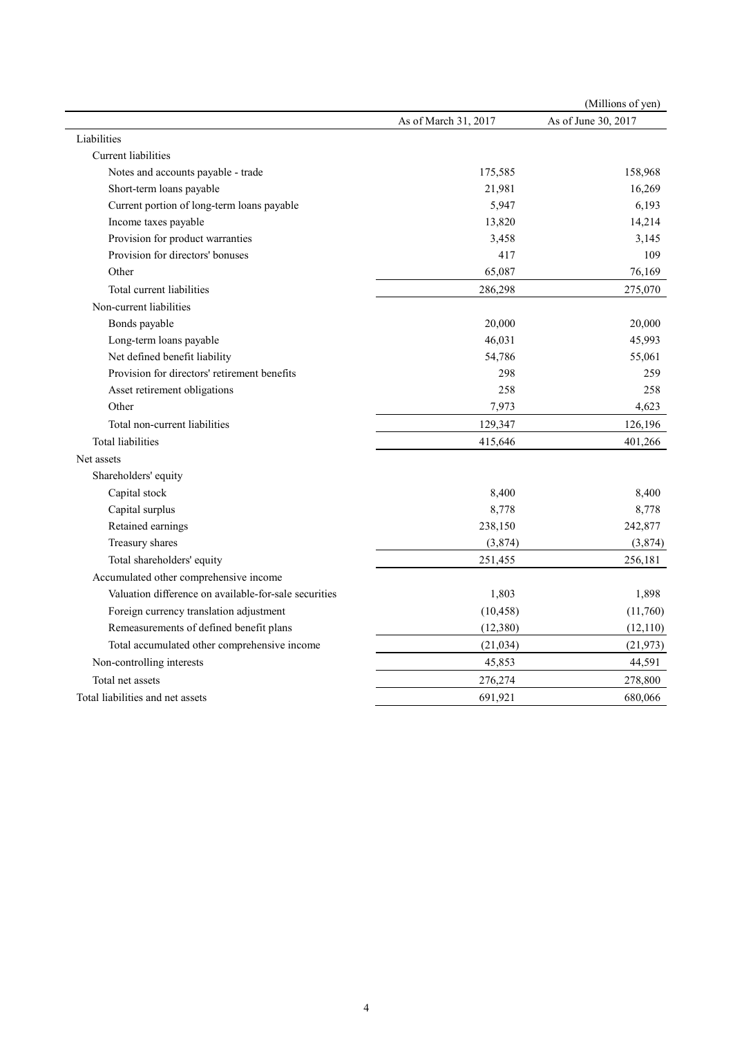|                                                       |                      | (Millions of yen)   |
|-------------------------------------------------------|----------------------|---------------------|
|                                                       | As of March 31, 2017 | As of June 30, 2017 |
| Liabilities                                           |                      |                     |
| Current liabilities                                   |                      |                     |
| Notes and accounts payable - trade                    | 175,585              | 158,968             |
| Short-term loans payable                              | 21,981               | 16,269              |
| Current portion of long-term loans payable            | 5,947                | 6,193               |
| Income taxes payable                                  | 13,820               | 14,214              |
| Provision for product warranties                      | 3,458                | 3,145               |
| Provision for directors' bonuses                      | 417                  | 109                 |
| Other                                                 | 65,087               | 76,169              |
| Total current liabilities                             | 286,298              | 275,070             |
| Non-current liabilities                               |                      |                     |
| Bonds payable                                         | 20,000               | 20,000              |
| Long-term loans payable                               | 46,031               | 45,993              |
| Net defined benefit liability                         | 54,786               | 55,061              |
| Provision for directors' retirement benefits          | 298                  | 259                 |
| Asset retirement obligations                          | 258                  | 258                 |
| Other                                                 | 7,973                | 4,623               |
| Total non-current liabilities                         | 129,347              | 126,196             |
| <b>Total liabilities</b>                              | 415,646              | 401,266             |
| Net assets                                            |                      |                     |
| Shareholders' equity                                  |                      |                     |
| Capital stock                                         | 8,400                | 8,400               |
| Capital surplus                                       | 8,778                | 8,778               |
| Retained earnings                                     | 238,150              | 242,877             |
| Treasury shares                                       | (3,874)              | (3,874)             |
| Total shareholders' equity                            | 251,455              | 256,181             |
| Accumulated other comprehensive income                |                      |                     |
| Valuation difference on available-for-sale securities | 1,803                | 1,898               |
| Foreign currency translation adjustment               | (10, 458)            | (11,760)            |
| Remeasurements of defined benefit plans               | (12, 380)            | (12, 110)           |
| Total accumulated other comprehensive income          | (21, 034)            | (21, 973)           |
| Non-controlling interests                             | 45,853               | 44,591              |
| Total net assets                                      | 276,274              | 278,800             |
| Total liabilities and net assets                      | 691,921              | 680,066             |
|                                                       |                      |                     |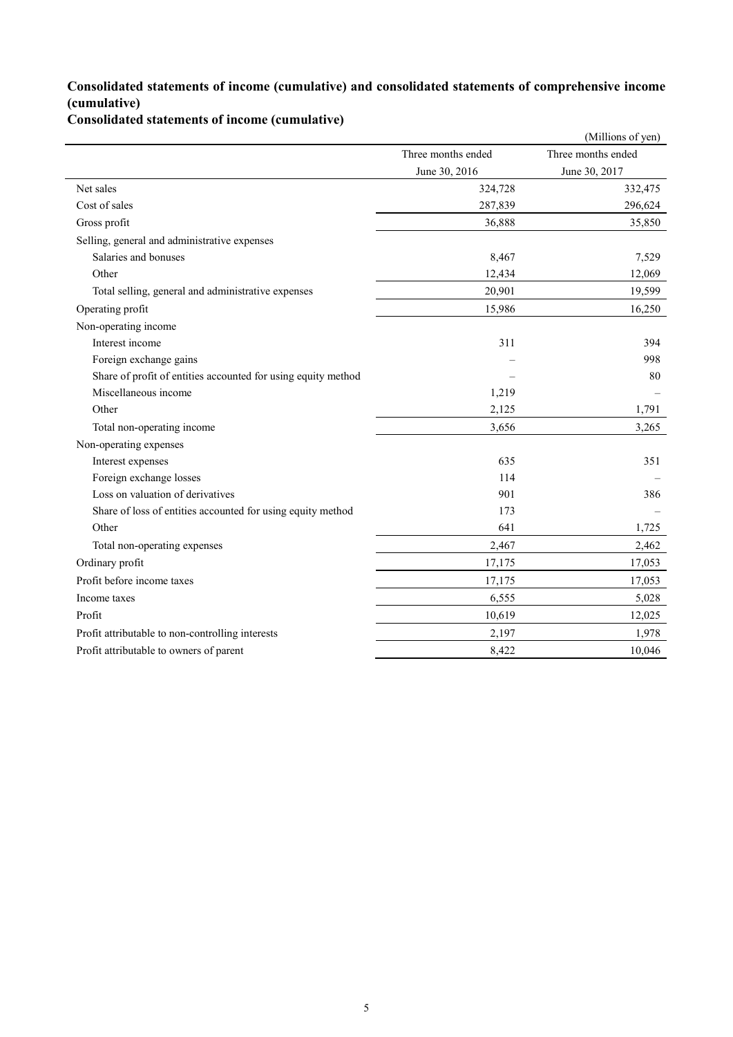### **Consolidated statements of income (cumulative) and consolidated statements of comprehensive income (cumulative)**

**Consolidated statements of income (cumulative)**

|                                                               |                    | (Millions of yen)  |
|---------------------------------------------------------------|--------------------|--------------------|
|                                                               | Three months ended | Three months ended |
|                                                               | June 30, 2016      | June 30, 2017      |
| Net sales                                                     | 324,728            | 332,475            |
| Cost of sales                                                 | 287,839            | 296,624            |
| Gross profit                                                  | 36,888             | 35,850             |
| Selling, general and administrative expenses                  |                    |                    |
| Salaries and bonuses                                          | 8,467              | 7,529              |
| Other                                                         | 12,434             | 12,069             |
| Total selling, general and administrative expenses            | 20,901             | 19,599             |
| Operating profit                                              | 15,986             | 16,250             |
| Non-operating income                                          |                    |                    |
| Interest income                                               | 311                | 394                |
| Foreign exchange gains                                        |                    | 998                |
| Share of profit of entities accounted for using equity method |                    | 80                 |
| Miscellaneous income                                          | 1,219              |                    |
| Other                                                         | 2,125              | 1,791              |
| Total non-operating income                                    | 3,656              | 3,265              |
| Non-operating expenses                                        |                    |                    |
| Interest expenses                                             | 635                | 351                |
| Foreign exchange losses                                       | 114                |                    |
| Loss on valuation of derivatives                              | 901                | 386                |
| Share of loss of entities accounted for using equity method   | 173                |                    |
| Other                                                         | 641                | 1,725              |
| Total non-operating expenses                                  | 2,467              | 2,462              |
| Ordinary profit                                               | 17,175             | 17,053             |
| Profit before income taxes                                    | 17,175             | 17,053             |
| Income taxes                                                  | 6,555              | 5,028              |
| Profit                                                        | 10,619             | 12,025             |
| Profit attributable to non-controlling interests              | 2,197              | 1,978              |
| Profit attributable to owners of parent                       | 8,422              | 10,046             |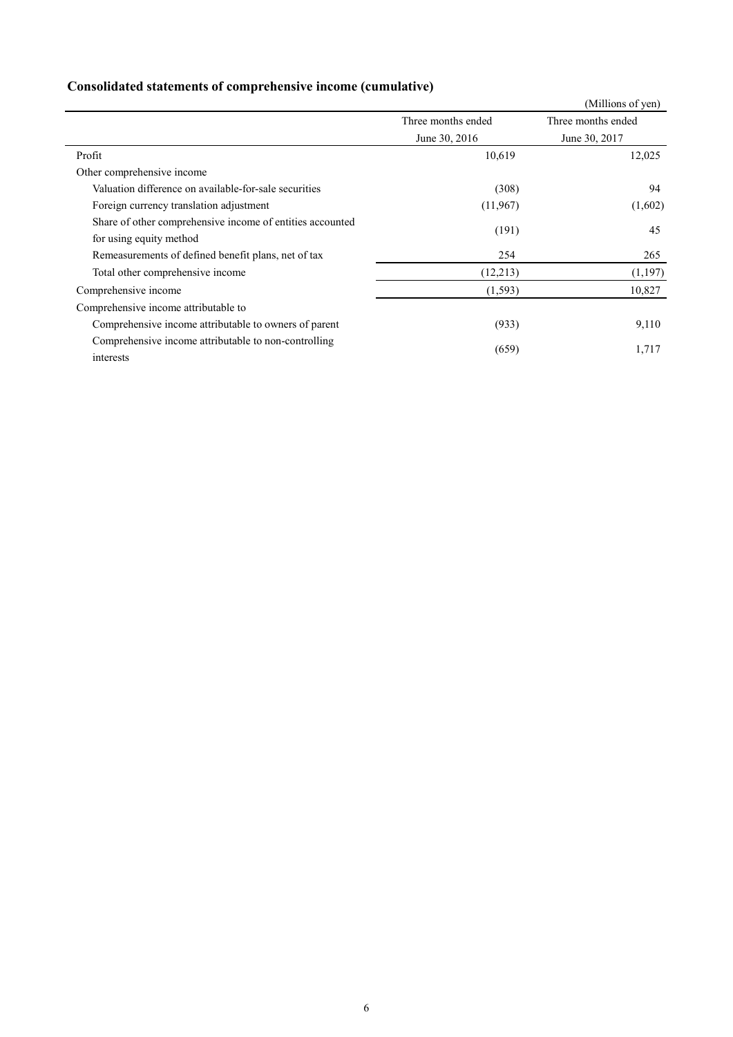# **Consolidated statements of comprehensive income (cumulative)**

|                                                           |                    | (Millions of yen)  |
|-----------------------------------------------------------|--------------------|--------------------|
|                                                           | Three months ended | Three months ended |
|                                                           | June 30, 2016      | June 30, 2017      |
| Profit                                                    | 10,619             | 12,025             |
| Other comprehensive income                                |                    |                    |
| Valuation difference on available-for-sale securities     | (308)              | 94                 |
| Foreign currency translation adjustment                   | (11,967)           | (1,602)            |
| Share of other comprehensive income of entities accounted | (191)              | 45                 |
| for using equity method                                   |                    |                    |
| Remeasurements of defined benefit plans, net of tax       | 254                | 265                |
| Total other comprehensive income                          | (12,213)           | (1,197)            |
| Comprehensive income                                      | (1, 593)           | 10,827             |
| Comprehensive income attributable to                      |                    |                    |
| Comprehensive income attributable to owners of parent     | (933)              | 9,110              |
| Comprehensive income attributable to non-controlling      | (659)              | 1,717              |
| interests                                                 |                    |                    |